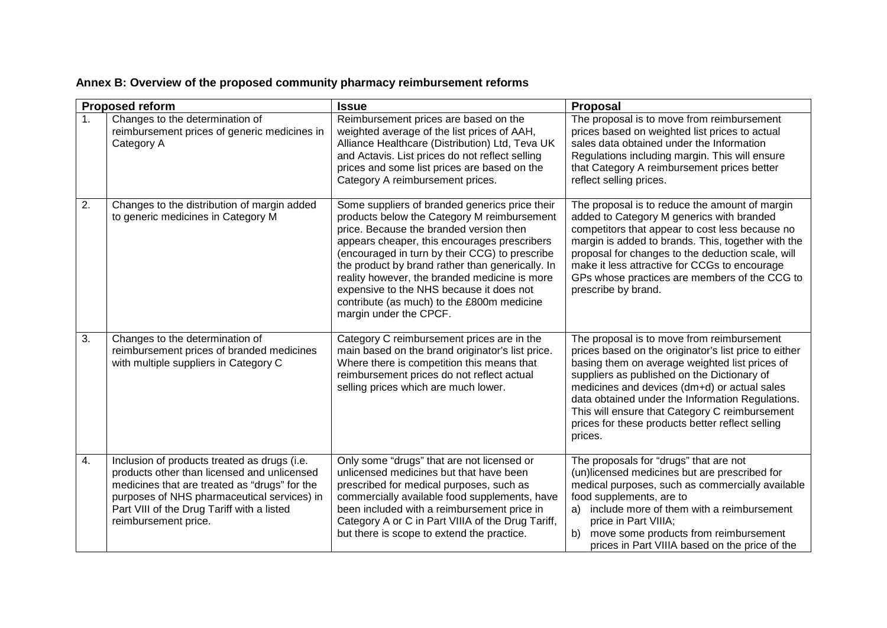| Annex B: Overview of the proposed community pharmacy reimbursement reforms |
|----------------------------------------------------------------------------|
|----------------------------------------------------------------------------|

| <b>Proposed reform</b> |                                                                                                                                                                                                                                                                   | <b>Issue</b>                                                                                                                                                                                                                                                                                                                                                                                                                                                        | Proposal                                                                                                                                                                                                                                                                                                                                                                                                                  |
|------------------------|-------------------------------------------------------------------------------------------------------------------------------------------------------------------------------------------------------------------------------------------------------------------|---------------------------------------------------------------------------------------------------------------------------------------------------------------------------------------------------------------------------------------------------------------------------------------------------------------------------------------------------------------------------------------------------------------------------------------------------------------------|---------------------------------------------------------------------------------------------------------------------------------------------------------------------------------------------------------------------------------------------------------------------------------------------------------------------------------------------------------------------------------------------------------------------------|
| 1 <sub>1</sub>         | Changes to the determination of<br>reimbursement prices of generic medicines in<br>Category A                                                                                                                                                                     | Reimbursement prices are based on the<br>weighted average of the list prices of AAH,<br>Alliance Healthcare (Distribution) Ltd, Teva UK<br>and Actavis. List prices do not reflect selling<br>prices and some list prices are based on the<br>Category A reimbursement prices.                                                                                                                                                                                      | The proposal is to move from reimbursement<br>prices based on weighted list prices to actual<br>sales data obtained under the Information<br>Regulations including margin. This will ensure<br>that Category A reimbursement prices better<br>reflect selling prices.                                                                                                                                                     |
| 2.                     | Changes to the distribution of margin added<br>to generic medicines in Category M                                                                                                                                                                                 | Some suppliers of branded generics price their<br>products below the Category M reimbursement<br>price. Because the branded version then<br>appears cheaper, this encourages prescribers<br>(encouraged in turn by their CCG) to prescribe<br>the product by brand rather than generically. In<br>reality however, the branded medicine is more<br>expensive to the NHS because it does not<br>contribute (as much) to the £800m medicine<br>margin under the CPCF. | The proposal is to reduce the amount of margin<br>added to Category M generics with branded<br>competitors that appear to cost less because no<br>margin is added to brands. This, together with the<br>proposal for changes to the deduction scale, will<br>make it less attractive for CCGs to encourage<br>GPs whose practices are members of the CCG to<br>prescribe by brand.                                        |
| 3.                     | Changes to the determination of<br>reimbursement prices of branded medicines<br>with multiple suppliers in Category C                                                                                                                                             | Category C reimbursement prices are in the<br>main based on the brand originator's list price.<br>Where there is competition this means that<br>reimbursement prices do not reflect actual<br>selling prices which are much lower.                                                                                                                                                                                                                                  | The proposal is to move from reimbursement<br>prices based on the originator's list price to either<br>basing them on average weighted list prices of<br>suppliers as published on the Dictionary of<br>medicines and devices (dm+d) or actual sales<br>data obtained under the Information Regulations.<br>This will ensure that Category C reimbursement<br>prices for these products better reflect selling<br>prices. |
| 4.                     | Inclusion of products treated as drugs (i.e.<br>products other than licensed and unlicensed<br>medicines that are treated as "drugs" for the<br>purposes of NHS pharmaceutical services) in<br>Part VIII of the Drug Tariff with a listed<br>reimbursement price. | Only some "drugs" that are not licensed or<br>unlicensed medicines but that have been<br>prescribed for medical purposes, such as<br>commercially available food supplements, have<br>been included with a reimbursement price in<br>Category A or C in Part VIIIA of the Drug Tariff,<br>but there is scope to extend the practice.                                                                                                                                | The proposals for "drugs" that are not<br>(un)licensed medicines but are prescribed for<br>medical purposes, such as commercially available<br>food supplements, are to<br>include more of them with a reimbursement<br>a)<br>price in Part VIIIA;<br>b)<br>move some products from reimbursement<br>prices in Part VIIIA based on the price of the                                                                       |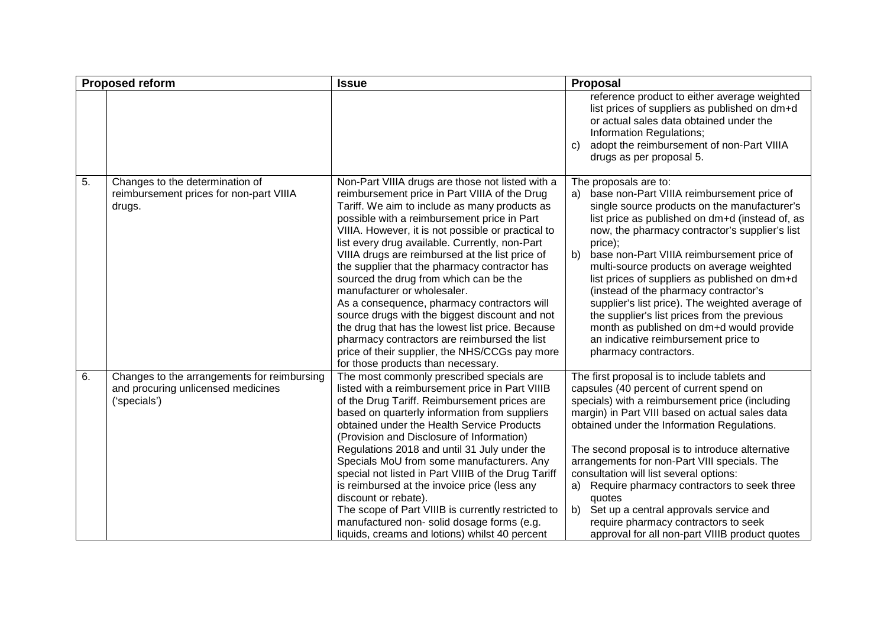| <b>Proposed reform</b> |                                                                                                   | <b>Issue</b>                                                                                                                                                                                                                                                                                                                                                                                                                                                                                                                                                                                                                                                                                                                                                                        | Proposal                                                                                                                                                                                                                                                                                                                                                                                                                                                                                                                                                                                                                                          |
|------------------------|---------------------------------------------------------------------------------------------------|-------------------------------------------------------------------------------------------------------------------------------------------------------------------------------------------------------------------------------------------------------------------------------------------------------------------------------------------------------------------------------------------------------------------------------------------------------------------------------------------------------------------------------------------------------------------------------------------------------------------------------------------------------------------------------------------------------------------------------------------------------------------------------------|---------------------------------------------------------------------------------------------------------------------------------------------------------------------------------------------------------------------------------------------------------------------------------------------------------------------------------------------------------------------------------------------------------------------------------------------------------------------------------------------------------------------------------------------------------------------------------------------------------------------------------------------------|
|                        |                                                                                                   |                                                                                                                                                                                                                                                                                                                                                                                                                                                                                                                                                                                                                                                                                                                                                                                     | reference product to either average weighted<br>list prices of suppliers as published on dm+d<br>or actual sales data obtained under the<br>Information Regulations;<br>adopt the reimbursement of non-Part VIIIA<br>C)<br>drugs as per proposal 5.                                                                                                                                                                                                                                                                                                                                                                                               |
| 5.                     | Changes to the determination of<br>reimbursement prices for non-part VIIIA<br>drugs.              | Non-Part VIIIA drugs are those not listed with a<br>reimbursement price in Part VIIIA of the Drug<br>Tariff. We aim to include as many products as<br>possible with a reimbursement price in Part<br>VIIIA. However, it is not possible or practical to<br>list every drug available. Currently, non-Part<br>VIIIA drugs are reimbursed at the list price of<br>the supplier that the pharmacy contractor has<br>sourced the drug from which can be the<br>manufacturer or wholesaler.<br>As a consequence, pharmacy contractors will<br>source drugs with the biggest discount and not<br>the drug that has the lowest list price. Because<br>pharmacy contractors are reimbursed the list<br>price of their supplier, the NHS/CCGs pay more<br>for those products than necessary. | The proposals are to:<br>a) base non-Part VIIIA reimbursement price of<br>single source products on the manufacturer's<br>list price as published on dm+d (instead of, as<br>now, the pharmacy contractor's supplier's list<br>price);<br>base non-Part VIIIA reimbursement price of<br>b)<br>multi-source products on average weighted<br>list prices of suppliers as published on dm+d<br>(instead of the pharmacy contractor's<br>supplier's list price). The weighted average of<br>the supplier's list prices from the previous<br>month as published on dm+d would provide<br>an indicative reimbursement price to<br>pharmacy contractors. |
| 6.                     | Changes to the arrangements for reimbursing<br>and procuring unlicensed medicines<br>('specials') | The most commonly prescribed specials are<br>listed with a reimbursement price in Part VIIIB<br>of the Drug Tariff. Reimbursement prices are<br>based on quarterly information from suppliers<br>obtained under the Health Service Products<br>(Provision and Disclosure of Information)<br>Regulations 2018 and until 31 July under the<br>Specials MoU from some manufacturers. Any<br>special not listed in Part VIIIB of the Drug Tariff<br>is reimbursed at the invoice price (less any<br>discount or rebate).<br>The scope of Part VIIIB is currently restricted to<br>manufactured non- solid dosage forms (e.g.<br>liquids, creams and lotions) whilst 40 percent                                                                                                          | The first proposal is to include tablets and<br>capsules (40 percent of current spend on<br>specials) with a reimbursement price (including<br>margin) in Part VIII based on actual sales data<br>obtained under the Information Regulations.<br>The second proposal is to introduce alternative<br>arrangements for non-Part VIII specials. The<br>consultation will list several options:<br>Require pharmacy contractors to seek three<br>a)<br>quotes<br>b) Set up a central approvals service and<br>require pharmacy contractors to seek<br>approval for all non-part VIIIB product quotes                                                  |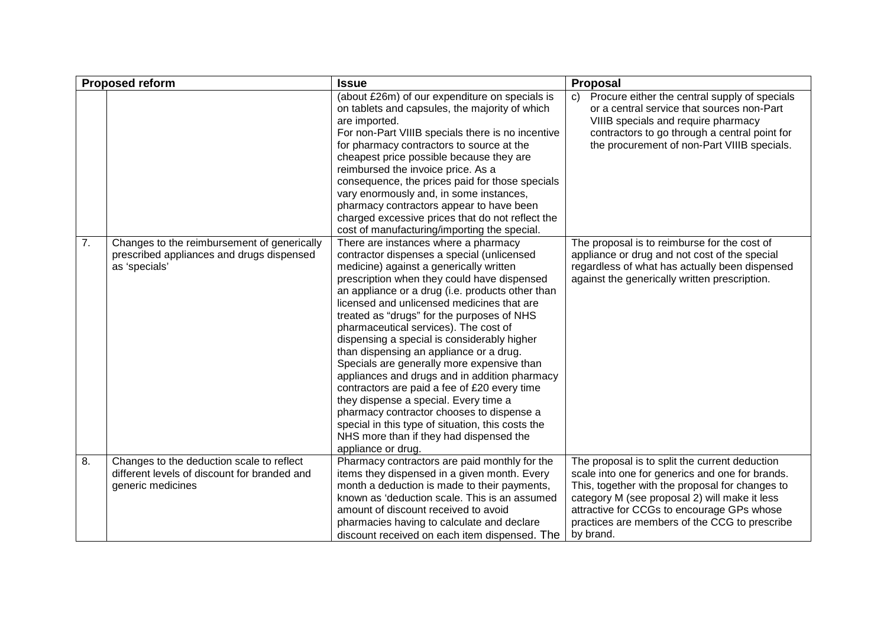| <b>Proposed reform</b> |                                                                                                                | <b>Issue</b>                                                                                                                                                                                                                                                                                                                                                                                                                                                                                                                                                                                                                                                                                                                                                                                                               | Proposal                                                                                                                                                                                                                                                                                                          |
|------------------------|----------------------------------------------------------------------------------------------------------------|----------------------------------------------------------------------------------------------------------------------------------------------------------------------------------------------------------------------------------------------------------------------------------------------------------------------------------------------------------------------------------------------------------------------------------------------------------------------------------------------------------------------------------------------------------------------------------------------------------------------------------------------------------------------------------------------------------------------------------------------------------------------------------------------------------------------------|-------------------------------------------------------------------------------------------------------------------------------------------------------------------------------------------------------------------------------------------------------------------------------------------------------------------|
|                        |                                                                                                                | (about £26m) of our expenditure on specials is<br>on tablets and capsules, the majority of which<br>are imported.<br>For non-Part VIIIB specials there is no incentive<br>for pharmacy contractors to source at the<br>cheapest price possible because they are<br>reimbursed the invoice price. As a<br>consequence, the prices paid for those specials<br>vary enormously and, in some instances,<br>pharmacy contractors appear to have been<br>charged excessive prices that do not reflect the<br>cost of manufacturing/importing the special.                                                                                                                                                                                                                                                                        | c) Procure either the central supply of specials<br>or a central service that sources non-Part<br>VIIIB specials and require pharmacy<br>contractors to go through a central point for<br>the procurement of non-Part VIIIB specials.                                                                             |
| 7.                     | Changes to the reimbursement of generically<br>prescribed appliances and drugs dispensed<br>as 'specials'      | There are instances where a pharmacy<br>contractor dispenses a special (unlicensed<br>medicine) against a generically written<br>prescription when they could have dispensed<br>an appliance or a drug (i.e. products other than<br>licensed and unlicensed medicines that are<br>treated as "drugs" for the purposes of NHS<br>pharmaceutical services). The cost of<br>dispensing a special is considerably higher<br>than dispensing an appliance or a drug.<br>Specials are generally more expensive than<br>appliances and drugs and in addition pharmacy<br>contractors are paid a fee of £20 every time<br>they dispense a special. Every time a<br>pharmacy contractor chooses to dispense a<br>special in this type of situation, this costs the<br>NHS more than if they had dispensed the<br>appliance or drug. | The proposal is to reimburse for the cost of<br>appliance or drug and not cost of the special<br>regardless of what has actually been dispensed<br>against the generically written prescription.                                                                                                                  |
| 8.                     | Changes to the deduction scale to reflect<br>different levels of discount for branded and<br>generic medicines | Pharmacy contractors are paid monthly for the<br>items they dispensed in a given month. Every<br>month a deduction is made to their payments,<br>known as 'deduction scale. This is an assumed<br>amount of discount received to avoid<br>pharmacies having to calculate and declare<br>discount received on each item dispensed. The                                                                                                                                                                                                                                                                                                                                                                                                                                                                                      | The proposal is to split the current deduction<br>scale into one for generics and one for brands.<br>This, together with the proposal for changes to<br>category M (see proposal 2) will make it less<br>attractive for CCGs to encourage GPs whose<br>practices are members of the CCG to prescribe<br>by brand. |